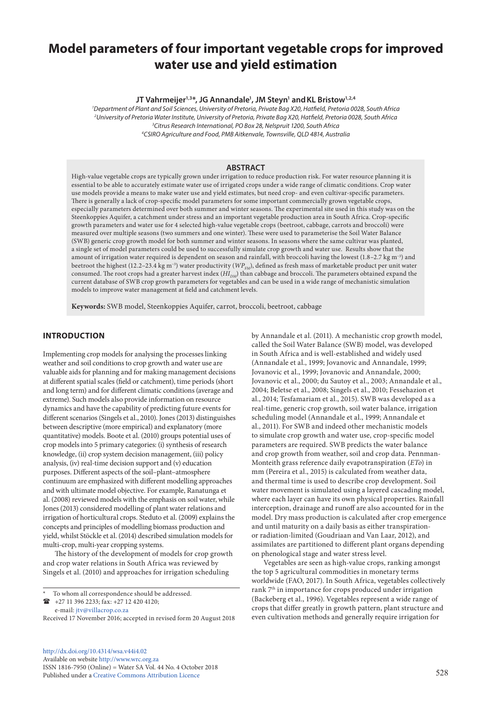# **Model parameters of four important vegetable crops for improved water use and yield estimation**

**JT Vahrmeijer1,3\*, JG Annandale1 , JM Steyn1 andKL Bristow1,2,4**

 *Department of Plant and Soil Sciences, University of Pretoria, Private Bag X20, Hatfield, Pretoria 0028, South Africa University of Pretoria Water Institute, University of Pretoria, Private Bag X20, Hatfield, Pretoria 0028, South Africa Citrus Research International, PO Box 28, Nelspruit 1200, South Africa 4 CSIRO Agriculture and Food, PMB Aitkenvale, Townsville, QLD 4814, Australia*

## **ABSTRACT**

High-value vegetable crops are typically grown under irrigation to reduce production risk. For water resource planning it is essential to be able to accurately estimate water use of irrigated crops under a wide range of climatic conditions. Crop water use models provide a means to make water use and yield estimates, but need crop- and even cultivar-specific parameters. There is generally a lack of crop-specific model parameters for some important commercially grown vegetable crops, especially parameters determined over both summer and winter seasons. The experimental site used in this study was on the Steenkoppies Aquifer, a catchment under stress and an important vegetable production area in South Africa. Crop-specific growth parameters and water use for 4 selected high-value vegetable crops (beetroot, cabbage, carrots and broccoli) were measured over multiple seasons (two summers and one winter). These were used to parameterise the Soil Water Balance (SWB) generic crop growth model for both summer and winter seasons. In seasons where the same cultivar was planted, a single set of model parameters could be used to successfully simulate crop growth and water use. Results show that the amount of irrigation water required is dependent on season and rainfall, with broccoli having the lowest (1.8–2.7 kg m−3) and beetroot the highest (12.2–23.4 kg m<sup>-3</sup>) water productivity (*WP<sub>FM</sub>*), defined as fresh mass of marketable product per unit water consumed. The root crops had a greater harvest index (*HI<sub>DM</sub>*) than cabbage and broccoli. The parameters obtained expand the current database of SWB crop growth parameters for vegetables and can be used in a wide range of mechanistic simulation models to improve water management at field and catchment levels.

**Keywords:** SWB model, Steenkoppies Aquifer, carrot, broccoli, beetroot, cabbage

# **INTRODUCTION**

Implementing crop models for analysing the processes linking weather and soil conditions to crop growth and water use are valuable aids for planning and for making management decisions at different spatial scales (field or catchment), time periods (short and long term) and for different climatic conditions (average and extreme). Such models also provide information on resource dynamics and have the capability of predicting future events for different scenarios (Singels et al., 2010). Jones (2013) distinguishes between descriptive (more empirical) and explanatory (more quantitative) models. Boote et al. (2010) groups potential uses of crop models into 5 primary categories: (i) synthesis of research knowledge, (ii) crop system decision management, (iii) policy analysis, (iv) real-time decision support and (v) education purposes. Different aspects of the soil–plant–atmosphere continuum are emphasized with different modelling approaches and with ultimate model objective. For example, Ranatunga et al. (2008) reviewed models with the emphasis on soil water, while Jones (2013) considered modelling of plant water relations and irrigation of horticultural crops. Steduto et al. (2009) explains the concepts and principles of modelling biomass production and yield, whilst Stöckle et al. (2014) described simulation models for multi-crop, multi-year cropping systems.

The history of the development of models for crop growth and crop water relations in South Africa was reviewed by Singels et al. (2010) and approaches for irrigation scheduling

 +27 11 396 2233; fax: +27 12 420 4120; e-mail: [jtv@villacrop.co.za](mailto:jtv@villacrop.co.za)

[http://dx.doi.org/10.4314/wsa.v44i4.0](http://dx.doi.org/10.4314/wsa.v44i4.02)2 Available on website <http://www.wrc.org.za> [ISSN 1816-7950 \(Online\) = Water SA Vol. 44 No. 4 October 2018](http://dx.doi.org/10.4314/wsa.v44i1.02) Published under a [Creative Commons Attribution Licence](https://creativecommons.org/licenses/by/4.0/) 528

by Annandale et al. (2011). A mechanistic crop growth model, called the Soil Water Balance (SWB) model, was developed in South Africa and is well-established and widely used (Annandale et al., 1999; Jovanovic and Annandale, 1999; Jovanovic et al., 1999; Jovanovic and Annandale, 2000; Jovanovic et al., 2000; du Sautoy et al., 2003; Annandale et al., 2004; Beletse et al., 2008; Singels et al., 2010; Fessehazion et al., 2014; Tesfamariam et al., 2015). SWB was developed as a real-time, generic crop growth, soil water balance, irrigation scheduling model (Annandale et al., 1999; Annandale et al., 2011). For SWB and indeed other mechanistic models to simulate crop growth and water use, crop-specific model parameters are required. SWB predicts the water balance and crop growth from weather, soil and crop data. Pennman-Monteith grass reference daily evapotranspiration (*ETo*) in mm (Pereira et al., 2015) is calculated from weather data, and thermal time is used to describe crop development. Soil water movement is simulated using a layered cascading model, where each layer can have its own physical properties. Rainfall interception, drainage and runoff are also accounted for in the model. Dry mass production is calculated after crop emergence and until maturity on a daily basis as either transpirationor radiation-limited (Goudriaan and Van Laar, 2012), and assimilates are partitioned to different plant organs depending on phenological stage and water stress level.

Vegetables are seen as high-value crops, ranking amongst the top 5 agricultural commodities in monetary terms worldwide (FAO, 2017). In South Africa, vegetables collectively rank 7th in importance for crops produced under irrigation (Backeberg et al., 1996). Vegetables represent a wide range of crops that differ greatly in growth pattern, plant structure and even cultivation methods and generally require irrigation for

To whom all correspondence should be addressed.

Received 17 November 2016; accepted in revised form 20 August 2018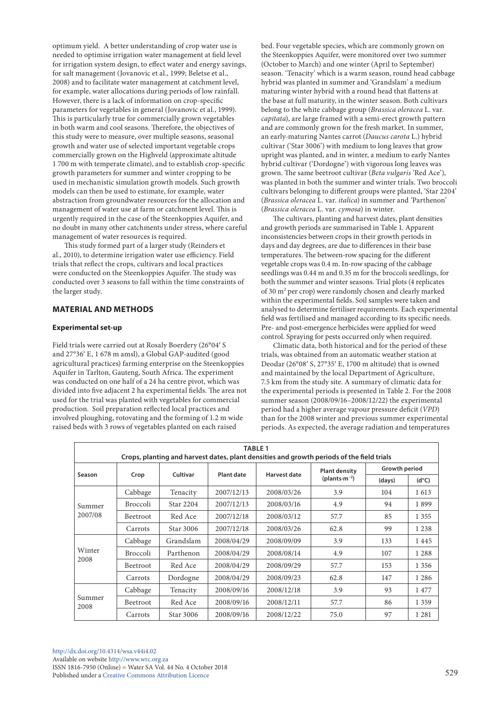optimum yield. A better understanding of crop water use is needed to optimise irrigation water management at field level for irrigation system design, to effect water and energy savings, for salt management (Jovanovic et al., 1999; Beletse et al., 2008) and to facilitate water management at catchment level, for example, water allocations during periods of low rainfall. However, there is a lack of information on crop-specific parameters for vegetables in general (Jovanovic et al., 1999). This is particularly true for commercially grown vegetables in both warm and cool seasons. Therefore, the objectives of this study were to measure, over multiple seasons, seasonal growth and water use of selected important vegetable crops commercially grown on the Highveld (approximate altitude 1 700 m with temperate climate), and to establish crop-specific growth parameters for summer and winter cropping to be used in mechanistic simulation growth models. Such growth models can then be used to estimate, for example, water abstraction from groundwater resources for the allocation and management of water use at farm or catchment level. This is urgently required in the case of the Steenkoppies Aquifer, and no doubt in many other catchments under stress, where careful management of water resources is required.

This study formed part of a larger study (Reinders et al., 2010), to determine irrigation water use efficiency. Field trials that reflect the crops, cultivars and local practices were conducted on the Steenkoppies Aquifer. The study was conducted over 3 seasons to fall within the time constraints of the larger study.

# **MATERIAL AND METHODS**

## **Experimental set-up**

Field trials were carried out at Rosaly Boerdery (26°04′ S and 27°36′ E, 1 678 m amsl), a Global GAP-audited (good agricultural practices) farming enterprise on the Steenkoppies Aquifer in Tarlton, Gauteng, South Africa. The experiment was conducted on one half of a 24 ha centre pivot, which was divided into five adjacent 2 ha experimental fields. The area not used for the trial was planted with vegetables for commercial production. Soil preparation reflected local practices and involved ploughing, rotovating and the forming of 1.2 m wide raised beds with 3 rows of vegetables planted on each raised

bed. Four vegetable species, which are commonly grown on the Steenkoppies Aquifer, were monitored over two summer (October to March) and one winter (April to September) season. 'Tenacity' which is a warm season, round head cabbage hybrid was planted in summer and 'Grandslam' a medium maturing winter hybrid with a round head that flattens at the base at full maturity, in the winter season. Both cultivars belong to the white cabbage group (*Brassica oleracea* L. var. *capitata*), are large framed with a semi-erect growth pattern and are commonly grown for the fresh market. In summer, an early-maturing Nantes carrot (*Daucus carota* L.) hybrid cultivar ('Star 3006') with medium to long leaves that grow upright was planted, and in winter, a medium to early Nantes hybrid cultivar ('Dordogne') with vigorous long leaves was grown. The same beetroot cultivar (*Beta vulgaris* 'Red Ace'), was planted in both the summer and winter trials. Two broccoli cultivars belonging to different groups were planted, 'Star 2204' (*Brassica oleracea* L. var. *italica*) in summer and *'*Parthenon' (*Brassica oleracea* L. var. *cymosa*) in winter.

The cultivars, planting and harvest dates, plant densities and growth periods are summarised in Table 1. Apparent inconsistencies between crops in their growth periods in days and day degrees, are due to differences in their base temperatures. The between-row spacing for the different vegetable crops was 0.4 m. In-row spacing of the cabbage seedlings was 0.44 m and 0.35 m for the broccoli seedlings, for both the summer and winter seasons. Trial plots (4 replicates of 30 m2 per crop) were randomly chosen and clearly marked within the experimental fields. Soil samples were taken and analysed to determine fertiliser requirements. Each experimental field was fertilised and managed according to its specific needs. Pre- and post-emergence herbicides were applied for weed control. Spraying for pests occurred only when required.

Climatic data, both historical and for the period of these trials, was obtained from an automatic weather station at Deodar (26°08′ S, 27°35′ E, 1700 m altitude) that is owned and maintained by the local Department of Agriculture, 7.5 km from the study site. A summary of climatic data for the experimental periods is presented in Table 2. For the 2008 summer season (2008/09/16–2008/12/22) the experimental period had a higher average vapour pressure deficit (*VPD*) than for the 2008 winter and previous summer experimental periods. As expected, the average radiation and temperatures

| <b>TABLE 1</b><br>Crops, planting and harvest dates, plant densities and growth periods of the field trials |                 |           |                   |              |                                   |                      |                |  |  |  |  |  |
|-------------------------------------------------------------------------------------------------------------|-----------------|-----------|-------------------|--------------|-----------------------------------|----------------------|----------------|--|--|--|--|--|
| Season                                                                                                      | Crop            | Cultivar  | <b>Plant date</b> | Harvest date | <b>Plant density</b>              | <b>Growth period</b> |                |  |  |  |  |  |
|                                                                                                             |                 |           |                   |              | (plants $\cdot$ m <sup>-2</sup> ) | (days)               | $(d^{\circ}C)$ |  |  |  |  |  |
|                                                                                                             | Cabbage         | Tenacity  | 2007/12/13        | 2008/03/26   | 3.9                               | 104                  | 1613           |  |  |  |  |  |
| Summer                                                                                                      | <b>Broccoli</b> | Star 2204 | 2007/12/13        | 2008/03/16   | 4.9                               | 94                   | 1899           |  |  |  |  |  |
| 2007/08                                                                                                     | <b>Beetroot</b> | Red Ace   | 2007/12/18        | 2008/03/12   | 57.7                              | 85                   | 1 3 5 5        |  |  |  |  |  |
|                                                                                                             | Carrots         | Star 3006 | 2007/12/18        | 2008/03/26   | 62.8                              | 99                   | 1 2 3 8        |  |  |  |  |  |
|                                                                                                             | Cabbage         | Grandslam | 2008/04/29        | 2008/09/09   | 3.9                               | 133                  | 1445           |  |  |  |  |  |
| Winter                                                                                                      | <b>Broccoli</b> | Parthenon | 2008/04/29        | 2008/08/14   | 4.9                               | 107                  | 1 2 8 8        |  |  |  |  |  |
| 2008                                                                                                        | <b>Beetroot</b> | Red Ace   | 2008/04/29        | 2008/09/29   | 57.7                              | 153                  | 1 3 5 6        |  |  |  |  |  |
|                                                                                                             | Carrots         | Dordogne  | 2008/04/29        | 2008/09/23   | 62.8                              | 147                  | 1 2 8 6        |  |  |  |  |  |
|                                                                                                             | Cabbage         | Tenacity  | 2008/09/16        | 2008/12/18   | 3.9                               | 93                   | 1477           |  |  |  |  |  |
| Summer<br>2008                                                                                              | <b>Beetroot</b> | Red Ace   | 2008/09/16        | 2008/12/11   | 57.7                              | 86                   | 1 3 5 9        |  |  |  |  |  |
|                                                                                                             | Carrots         | Star 3006 | 2008/09/16        | 2008/12/22   | 75.0                              | 97                   | 1 2 8 1        |  |  |  |  |  |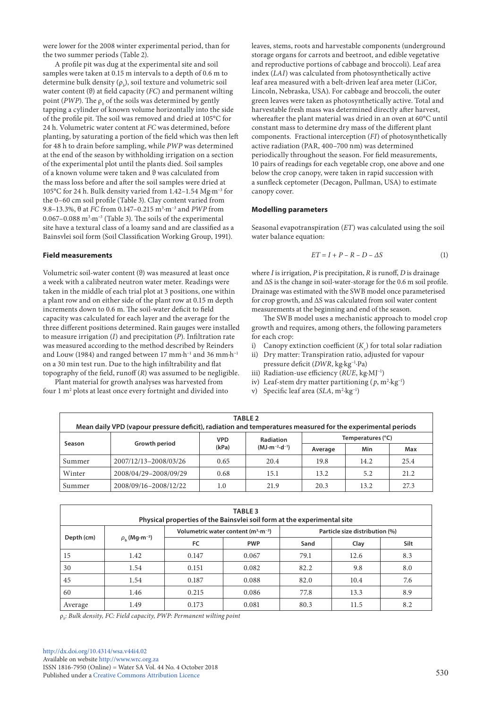were lower for the 2008 winter experimental period, than for the two summer periods (Table 2).

A profile pit was dug at the experimental site and soil samples were taken at 0.15 m intervals to a depth of 0.6 m to determine bulk density  $(\rho_{b})$ , soil texture and volumetric soil water content (ϑ) at field capacity (*FC*) and permanent wilting point (*PWP*). The  $\rho_b$  of the soils was determined by gently tapping a cylinder of known volume horizontally into the side of the profile pit. The soil was removed and dried at 105°C for 24 h. Volumetric water content at *FC* was determined, before planting, by saturating a portion of the field which was then left for 48 h to drain before sampling, while *PWP* was determined at the end of the season by withholding irrigation on a section of the experimental plot until the plants died. Soil samples of a known volume were taken and ϑ was calculated from the mass loss before and after the soil samples were dried at 105°C for 24 h. Bulk density varied from 1.42–1.54 Mg·m−3 for the 0–60 cm soil profile (Table 3). Clay content varied from 9.8–13.3%, θ at *FC* from 0.147–0.215 m3 ·m−3 and *PWP* from 0.067–0.088 m<sup>3</sup>·m<sup>-3</sup> (Table 3). The soils of the experimental site have a textural class of a loamy sand and are classified as a Bainsvlei soil form (Soil Classification Working Group, 1991).

#### **Field measurements**

Volumetric soil-water content (ϑ) was measured at least once a week with a calibrated neutron water meter. Readings were taken in the middle of each trial plot at 3 positions, one within a plant row and on either side of the plant row at 0.15 m depth increments down to 0.6 m. The soil-water deficit to field capacity was calculated for each layer and the average for the three different positions determined. Rain gauges were installed to measure irrigation (*I*) and precipitation (*P*). Infiltration rate was measured according to the method described by Reinders and Louw (1984) and ranged between 17 mm·h−1 and 36 mm·h−1 on a 30 min test run. Due to the high infiltrability and flat topography of the field, runoff (*R*) was assumed to be negligible.

Plant material for growth analyses was harvested from four 1 m<sup>2</sup> plots at least once every fortnight and divided into leaves, stems, roots and harvestable components (underground storage organs for carrots and beetroot, and edible vegetative and reproductive portions of cabbage and broccoli). Leaf area index (*LAI*) was calculated from photosynthetically active leaf area measured with a belt-driven leaf area meter (LiCor, Lincoln, Nebraska, USA). For cabbage and broccoli, the outer green leaves were taken as photosynthetically active. Total and harvestable fresh mass was determined directly after harvest, whereafter the plant material was dried in an oven at 60°C until constant mass to determine dry mass of the different plant components. Fractional interception (*FI*) of photosynthetically active radiation (PAR, 400–700 nm) was determined periodically throughout the season. For field measurements, 10 pairs of readings for each vegetable crop, one above and one below the crop canopy, were taken in rapid succession with a sunfleck ceptometer (Decagon, Pullman, USA) to estimate canopy cover.

#### **Modelling parameters**

Seasonal evapotranspiration (*ET*) was calculated using the soil water balance equation:

$$
ET = I + P - R - D - \Delta S \tag{1}
$$

where *I* is irrigation, *P* is precipitation, *R* is runoff, *D* is drainage and ΔS is the change in soil-water-storage for the 0.6 m soil profile. Drainage was estimated with the SWB model once parameterised for crop growth, and ΔS was calculated from soil water content measurements at the beginning and end of the season.

The SWB model uses a mechanistic approach to model crop growth and requires, among others, the following parameters for each crop:

- i) Canopy extinction coefficient  $(K<sub>s</sub>)$  for total solar radiation
- ii) Dry matter: Transpiration ratio, adjusted for vapour pressure deficit (*DWR*, kg·kg−1·Pa)
- iii) Radiation-use efficiency (*RUE*, kg·MJ−1)
- iv) Leaf-stem dry matter partitioning  $(p, m^2 \cdot kg^{-1})$
- v) Specific leaf area (*SLA*, m<sup>2</sup>⋅kg<sup>-1</sup>)

| TABLE <sub>2</sub><br>Mean daily VPD (vapour pressure deficit), radiation and temperatures measured for the experimental periods |                       |            |                      |                   |      |      |  |  |  |  |  |
|----------------------------------------------------------------------------------------------------------------------------------|-----------------------|------------|----------------------|-------------------|------|------|--|--|--|--|--|
| Season                                                                                                                           | Growth period         | <b>VPD</b> | <b>Radiation</b>     | Temperatures (°C) |      |      |  |  |  |  |  |
|                                                                                                                                  |                       | (kPa)      | $(MJ·m^{-2}·d^{-1})$ | Average           | Min  | Max  |  |  |  |  |  |
| Summer                                                                                                                           | 2007/12/13-2008/03/26 | 0.65       | 20.4                 | 19.8              | 14.2 | 25.4 |  |  |  |  |  |
| Winter                                                                                                                           | 2008/04/29-2008/09/29 | 0.68       | 15.1                 | 13.2              | 5.2  | 21.2 |  |  |  |  |  |
| Summer                                                                                                                           | 2008/09/16-2008/12/22 | $1.0\,$    | 21.9                 | 20.3              | 13.2 | 27.3 |  |  |  |  |  |

| <b>TABLE 3</b><br>Physical properties of the Bainsvlei soil form at the experimental site |                                      |       |                                               |                                |      |      |  |  |  |  |  |
|-------------------------------------------------------------------------------------------|--------------------------------------|-------|-----------------------------------------------|--------------------------------|------|------|--|--|--|--|--|
| Depth (cm)                                                                                |                                      |       | Volumetric water content $(m^3 \cdot m^{-3})$ | Particle size distribution (%) |      |      |  |  |  |  |  |
|                                                                                           | $\rho_{\rm b}$ (Mg·m <sup>-3</sup> ) | FC    | <b>PWP</b>                                    | Sand                           | Clay | Silt |  |  |  |  |  |
| 15                                                                                        | 1.42                                 | 0.147 | 0.067                                         | 79.1                           | 12.6 | 8.3  |  |  |  |  |  |
| 30                                                                                        | 1.54                                 | 0.151 | 0.082                                         | 82.2                           | 9.8  | 8.0  |  |  |  |  |  |
| 45                                                                                        | 1.54                                 | 0.187 | 0.088                                         | 82.0                           | 10.4 | 7.6  |  |  |  |  |  |
| 60                                                                                        | 1.46                                 | 0.215 | 0.086                                         | 77.8                           | 13.3 | 8.9  |  |  |  |  |  |
| Average                                                                                   | 1.49                                 | 0.173 | 0.081                                         | 80.3                           | 11.5 | 8.2  |  |  |  |  |  |

ρ*b : Bulk density, FC: Field capacity, PWP: Permanent wilting point*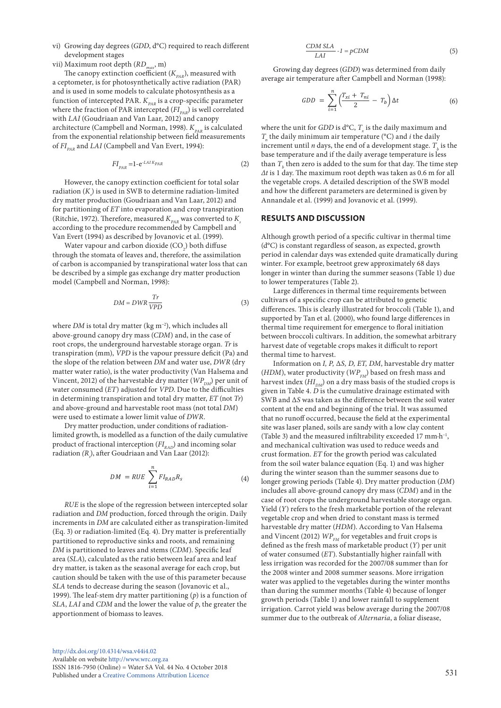vii) Maximum root depth (*RDmax*, m)

The canopy extinction coefficient  $(K_{p_{AR}})$ , measured with a ceptometer, is for photosynthetically active radiation (PAR) and is used in some models to calculate photosynthesis as a function of intercepted PAR.  $K_{PAR}$  is a crop-specific parameter where the fraction of PAR intercepted  $(FI_{p_{AB}})$  is well correlated with *LAI* (Goudriaan and Van Laar, 2012) and canopy architecture (Campbell and Norman, 1998).  $K_{p_{AR}}$  is calculated from the exponential relationship between field measurements of  $FI_{p_{AP}}$  and *LAI* (Campbell and Van Evert, 1994):

$$
FI_{PAR} = 1 - e^{-LAIK_{PAR}} \tag{2}
$$

However, the canopy extinction coefficient for total solar radiation (*Ks* ) is used in SWB to determine radiation-limited dry matter production (Goudriaan and Van Laar, 2012) and for partitioning of *ET* into evaporation and crop transpiration (Ritchie, 1972). Therefore, measured  $K_{PAR}$  was converted to  $K_s$ according to the procedure recommended by Campbell and Van Evert (1994) as described by Jovanovic et al. (1999).

Water vapour and carbon dioxide (CO<sub>2</sub>) both diffuse through the stomata of leaves and, therefore, the assimilation of carbon is accompanied by transpirational water loss that can be described by a simple gas exchange dry matter production model (Campbell and Norman, 1998):

$$
DM = DWR \frac{Tr}{VPD} \tag{3}
$$

root crops, the underground harvestable storage organ. *Tr* is  $\frac{1}{2}$  *LAI PCDM*  $\frac{1}{2}$  *DCDM* is the vapour pressure deficit (Pa) and  $\frac{1}{2}$ water consumed  $(ET)$  adjusted for *VPD*. Due to the difficulties water consumed (*E1*) adjusted for *VPD*. Due to the dimculties in determining transpiration and total dry matter, *ET* (not *Tr*) Vincent, 2012) of the harvestable dry matter ( $W\!P_{\rm DM}$ ) per unit of where *DM* is total dry matter (kg m−2), which includes all above-ground canopy dry mass (*CDM*) and, in the case of the slope of the relation between *DM* and water use, *DWR* (dry matter water ratio), is the water productivity (Van Halsema and and above-ground and harvestable root mass (not total *DM*) were used to estimate a lower limit value of *DWR*.

limited growth, is modelled as a function of the daily cumulative  $\overline{\mathbf{C}}$ Dry matter production, under conditions of radiationproduct of fractional interception  $\left( FI_{_{RAD}}\right)$  and incoming solar radiation *(Rs* ), after Goudriaan and Van Laar (2012):

$$
DM = RUE \sum_{i=1}^{n} FI_{RAD}R_{S}
$$
 (4)

*RUE* is the slope of the regression between intercepted solar radiation and *DM* production, forced through the origin. Daily increments in *DM* are calculated either as transpiration-limited (Eq. 3) or radiation-limited (Eq. 4). Dry matter is preferentially partitioned to reproductive sinks and roots, and remaining *DM* is partitioned to leaves and stems (*CDM*). Specific leaf area (*SLA*), calculated as the ratio between leaf area and leaf dry matter, is taken as the seasonal average for each crop, but caution should be taken with the use of this parameter because *SLA* tends to decrease during the season (Jovanovic et al., 1999). The leaf-stem dry matter partitioning (*p*) is a function of *SLA*, *LAI* and *CDM* and the lower the value of *p*, the greater the apportionment of biomass to leaves.

$$
\frac{CDM SLA}{LAI} - I = pCDM
$$
 (5)

average air temperature after Campbell and Norman (1998):<br> Growing day degrees (*GDD*) was determined from daily

$$
GDD = \sum_{i=1}^{n} \left( \frac{T_{xi} + T_{ni}}{2} - T_b \right) \Delta t \tag{6}
$$

It for GDD is a  $C$ ,  $I_x$  is where the unit for *GDD* is d°C,  $T_x$  is the daily maximum and  $T_{\!\scriptscriptstyle n}$  the daily minimum air temperature (°C) and  $i$  the daily increment until *n* days, the end of a development stage.  $T_b$  is the ��� base temperature and if the daily average temperature is less than  $T_b$  then zero is added to the sum for that day. The time step *∆t* is 1 day. The maximum root depth was taken as 0.6 m for all the vegetable crops. A detailed description of the SWB model and how the different parameters are determined is given by Annandale et al. (1999) and Jovanovic et al. (1999).

#### **RESULTS AND DISCUSSION**

Although growth period of a specific cultivar in thermal time (d°C) is constant regardless of season, as expected, growth period in calendar days was extended quite dramatically during winter. For example, beetroot grew approximately 68 days longer in winter than during the summer seasons (Table 1) due to lower temperatures (Table 2).

Large differences in thermal time requirements between cultivars of a specific crop can be attributed to genetic differences. This is clearly illustrated for broccoli (Table 1), and supported by Tan et al. (2000), who found large differences in thermal time requirement for emergence to floral initiation between broccoli cultivars. In addition, the somewhat arbitrary harvest date of vegetable crops makes it difficult to report thermal time to harvest.

Information on *I, P,* Δ*S, D, ET, DM*, harvestable dry matter ( $HDM$ ), water productivity ( $WP_{FM}$ ) based on fresh mass and harvest index  $(HI_{DM})$  on a dry mass basis of the studied crops is given in Table 4. *D* is the cumulative drainage estimated with SWB and Δ*S* was taken as the difference between the soil water content at the end and beginning of the trial. It was assumed that no runoff occurred, because the field at the experimental site was laser planed, soils are sandy with a low clay content (Table 3) and the measured infiltrability exceeded 17 mm·h−1, and mechanical cultivation was used to reduce weeds and crust formation. *ET* for the growth period was calculated from the soil water balance equation (Eq. 1) and was higher during the winter season than the summer seasons due to longer growing periods (Table 4). Dry matter production (*DM*) includes all above-ground canopy dry mass (*CDM*) and in the case of root crops the underground harvestable storage organ. Yield (*Y*) refers to the fresh marketable portion of the relevant vegetable crop and when dried to constant mass is termed harvestable dry matter (*HDM*). According to Van Halsema and Vincent (2012)  $WP_{FM}$  for vegetables and fruit crops is defined as the fresh mass of marketable product (*Y*) per unit of water consumed (*ET*). Substantially higher rainfall with less irrigation was recorded for the 2007/08 summer than for the 2008 winter and 2008 summer seasons. More irrigation water was applied to the vegetables during the winter months than during the summer months (Table 4) because of longer growth periods (Table 1) and lower rainfall to supplement irrigation. Carrot yield was below average during the 2007/08 summer due to the outbreak of *Alternaria*, a foliar disease,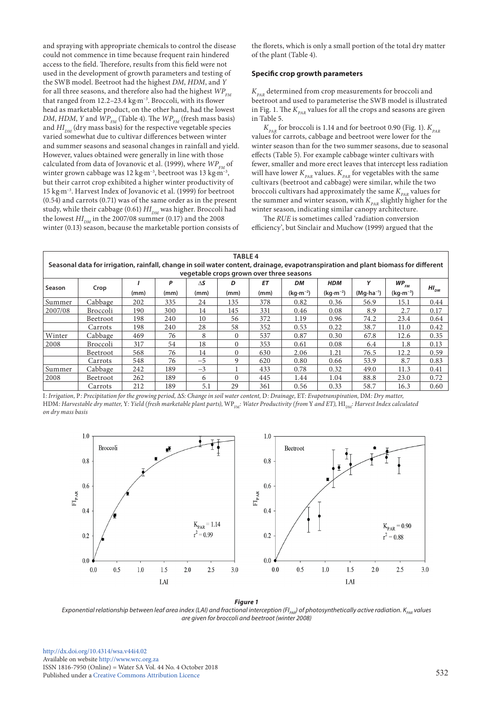and spraying with appropriate chemicals to control the disease could not commence in time because frequent rain hindered access to the field. Therefore, results from this field were not used in the development of growth parameters and testing of the SWB model. Beetroot had the highest *DM*, *HDM*, and *Y* for all three seasons, and therefore also had the highest  $WP_{FM}$ that ranged from 12.2–23.4 kg·m−3. Broccoli, with its flower head as marketable product, on the other hand, had the lowest *DM*, *HDM*, *Y* and  $WP_{FM}$  (Table 4). The  $WP_{FM}$  (fresh mass basis) and  $HI_{DM}$  (dry mass basis) for the respective vegetable species varied somewhat due to cultivar differences between winter and summer seasons and seasonal changes in rainfall and yield. However, values obtained were generally in line with those calculated from data of Jovanovic et al. (1999), where  $W_{F_M}^P$  of winter grown cabbage was 12 kg·m−3, beetroot was 13 kg·m−3, but their carrot crop exhibited a higher winter productivity of 15 kg·m−3. Harvest Index of Jovanovic et al. (1999) for beetroot (0.54) and carrots (0.71) was of the same order as in the present study, while their cabbage (0.61)  $HI$ <sub>DM</sub> was higher. Broccoli had the lowest  $HI_{DM}$  in the 2007/08 summer (0.17) and the 2008 winter (0.13) season, because the marketable portion consists of

the florets, which is only a small portion of the total dry matter of the plant (Table 4).

## **Specific crop growth parameters**

 $K_{p_{AR}}$  determined from crop measurements for broccoli and beetroot and used to parameterise the SWB model is illustrated in Fig. 1. The  $K_{p_{AB}}$  values for all the crops and seasons are given in Table 5.

 $K_{p_{AR}}$  for broccoli is 1.14 and for beetroot 0.90 (Fig. 1).  $K_{p_{AR}}$ values for carrots, cabbage and beetroot were lower for the winter season than for the two summer seasons, due to seasonal effects (Table 5). For example cabbage winter cultivars with fewer, smaller and more erect leaves that intercept less radiation will have lower  $K_{p_{AR}}$  values.  $K_{p_{AR}}$  for vegetables with the same cultivars (beetroot and cabbage) were similar, while the two broccoli cultivars had approximately the same  $K_{p_{AR}}$  values for the summer and winter season, with  $K_{PAR}$  slightly higher for the winter season, indicating similar canopy architecture.

The *RUE* is sometimes called 'radiation conversion efficiency', but Sinclair and Muchow (1999) argued that the

|                                               | <b>TABLE 4</b><br>Seasonal data for irrigation, rainfall, change in soil water content, drainage, evapotranspiration and plant biomass for different |      |           |                    |           |                   |                  |                          |                      |                           |           |  |  |
|-----------------------------------------------|------------------------------------------------------------------------------------------------------------------------------------------------------|------|-----------|--------------------|-----------|-------------------|------------------|--------------------------|----------------------|---------------------------|-----------|--|--|
| vegetable crops grown over three seasons<br>Υ |                                                                                                                                                      |      |           |                    |           |                   |                  |                          |                      |                           |           |  |  |
| Season                                        | Crop                                                                                                                                                 | (mm) | P<br>(mm) | $\Delta$ S<br>(mm) | D<br>(mm) | <b>ET</b><br>(mm) | DМ<br>$(kq·m-2)$ | <b>HDM</b><br>$(kq·m-2)$ | $(Mq \cdot ha^{-1})$ | $W P_{F M}$<br>$(kg·m-3)$ | $HI_{DM}$ |  |  |
| Summer                                        | Cabbage                                                                                                                                              | 202  | 335       | 24                 | 135       | 378               | 0.82             | 0.36                     | 56.9                 | 15.1                      | 0.44      |  |  |
| 2007/08                                       | Broccoli                                                                                                                                             | 190  | 300       | 14                 | 145       | 331               | 0.46             | 0.08                     | 8.9                  | 2.7                       | 0.17      |  |  |
|                                               | Beetroot                                                                                                                                             | 198  | 240       | 10                 | 56        | 372               | 1.19             | 0.96                     | 74.2                 | 23.4                      | 0.64      |  |  |
|                                               | Carrots                                                                                                                                              | 198  | 240       | 28                 | 58        | 352               | 0.53             | 0.22                     | 38.7                 | 11.0                      | 0.42      |  |  |
| Winter                                        | Cabbage                                                                                                                                              | 469  | 76        | 8                  | $\Omega$  | 537               | 0.87             | 0.30                     | 67.8                 | 12.6                      | 0.35      |  |  |
| 2008                                          | <b>Broccoli</b>                                                                                                                                      | 317  | 54        | 18                 | $\Omega$  | 353               | 0.61             | 0.08                     | 6.4                  | 1.8                       | 0.13      |  |  |
|                                               | Beetroot                                                                                                                                             | 568  | 76        | 14                 | $\Omega$  | 630               | 2.06             | 1.21                     | 76.5                 | 12.2                      | 0.59      |  |  |
|                                               | Carrots                                                                                                                                              | 548  | 76        | $-5$               | 9         | 620               | 0.80             | 0.66                     | 53.9                 | 8.7                       | 0.83      |  |  |
| Summer                                        | Cabbage                                                                                                                                              | 242  | 189       | $-3$               |           | 433               | 0.78             | 0.32                     | 49.0                 | 11.3                      | 0.41      |  |  |
| 2008                                          | Beetroot                                                                                                                                             | 262  | 189       | 6                  | $\Omega$  | 445               | 1.44             | 1.04                     | 88.8                 | 23.0                      | 0.72      |  |  |
|                                               | Carrots                                                                                                                                              | 212  | 189       | 5.1                | 29        | 361               | 0.56             | 0.33                     | 58.7                 | 16.3                      | 0.60      |  |  |

I*: Irrigation,* P*: Precipitation for the growing period,* ΔS*: Change in soil water content,* D*: Drainage,* ET*: Evapotranspiration,* DM*: Dry matter,*  HDM: Harvestable dry matter, Y: Yield (fresh marketable plant parts), WP<sub>FM</sub>: Water Productivity (from Y and ET), HI<sub>DM</sub>: Harvest Index calculated *on dry mass basis*



*Figure 1 Exponential relationship between leaf area index (LAI) and fractional interception (FI<sub>PAR</sub>) of photosynthetically active radiation. K<sub>PAR</sub> values are given for broccoli and beetroot (winter 2008)*

[http://dx.doi.org/10.4314/wsa.v44i4.0](http://dx.doi.org/10.4314/wsa.v44i4.02)2 Available on website <http://www.wrc.org.za> [ISSN 1816-7950 \(Online\) = Water SA Vol. 44 No. 4 October 2018](http://dx.doi.org/10.4314/wsa.v44i1.02) Published under a [Creative Commons Attribution Licence](https://creativecommons.org/licenses/by/4.0/) 532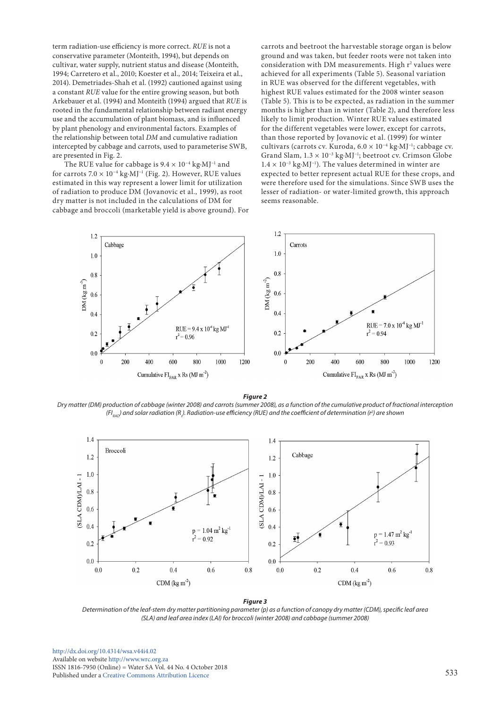term radiation-use efficiency is more correct. *RUE* is not a conservative parameter (Monteith, 1994), but depends on cultivar, water supply, nutrient status and disease (Monteith, 1994; Carretero et al., 2010; Koester et al., 2014; Teixeira et al., 2014). Demetriades-Shah et al. (1992) cautioned against using a constant *RUE* value for the entire growing season, but both Arkebauer et al. (1994) and Monteith (1994) argued that *RUE* is rooted in the fundamental relationship between radiant energy use and the accumulation of plant biomass, and is influenced by plant phenology and environmental factors. Examples of the relationship between total *DM* and cumulative radiation intercepted by cabbage and carrots, used to parameterise SWB, are presented in Fig. 2.

The RUE value for cabbage is  $9.4 \times 10^{-4}$  kg⋅MJ<sup>-1</sup> and for carrots  $7.0 \times 10^{-4}$  kg·MJ<sup>-1</sup> (Fig. 2). However, RUE values estimated in this way represent a lower limit for utilization of radiation to produce DM (Jovanovic et al., 1999), as root dry matter is not included in the calculations of DM for cabbage and broccoli (marketable yield is above ground). For carrots and beetroot the harvestable storage organ is below ground and was taken, but feeder roots were not taken into consideration with DM measurements. High  $r^2$  values were achieved for all experiments (Table 5). Seasonal variation in RUE was observed for the different vegetables, with highest RUE values estimated for the 2008 winter season (Table 5). This is to be expected, as radiation in the summer months is higher than in winter (Table 2), and therefore less likely to limit production. Winter RUE values estimated for the different vegetables were lower, except for carrots, than those reported by Jovanovic et al. (1999) for winter cultivars (carrots cv. Kuroda, 6.0 × 10−4 kg·MJ−1; cabbage cv. Grand Slam, 1.3 × 10−3 kg·MJ−1; beetroot cv. Crimson Globe 1.4 × 10−3 kg·MJ−1). The values determined in winter are expected to better represent actual RUE for these crops, and were therefore used for the simulations. Since SWB uses the lesser of radiation- or water-limited growth, this approach seems reasonable.



*Figure 2*

*Dry matter (DM) production of cabbage (winter 2008) and carrots (summer 2008), as a function of the cumulative product of fractional interception*  (FI<sub>RAD</sub>) and solar radiation (R<sub>.</sub>). Radiation-use efficiency (RUE) and the coefficient of determination (r<sup>2</sup>) are shown



*Figure 3* 

*Determination of the leaf-stem dry matter partitioning parameter (p) as a function of canopy dry matter (CDM), specific leaf area (SLA) and leaf area index (LAI) for broccoli (winter 2008) and cabbage (summer 2008)*

[http://dx.doi.org/10.4314/wsa.v44i4.](http://dx.doi.org/10.4314/wsa.v44i4.02)02 Available on website<http://www.wrc.org.za> ISSN 1816-7950 (Online) = Water SA Vol. 44 No. 4 October 2018 Published under a [Creative Commons Attribution Licence](https://creativecommons.org/licenses/by/4.0/) 533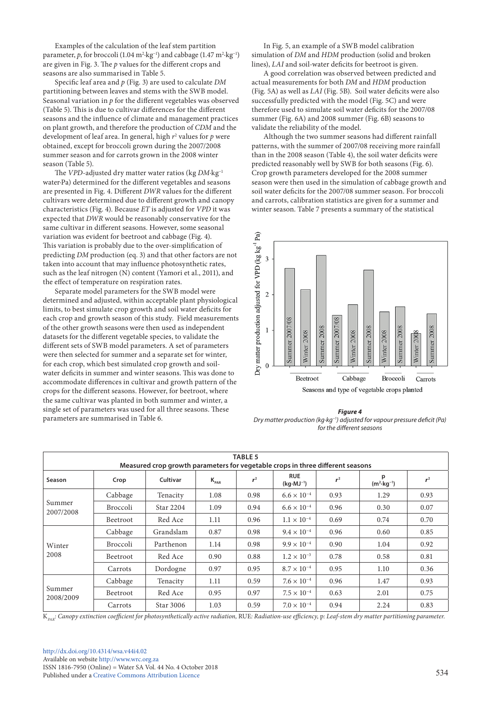Examples of the calculation of the leaf stem partition parameter, *p*, for broccoli (1.04  $\text{m}^2\text{-kg}^{-1}$ ) and cabbage (1.47  $\text{m}^2\text{-kg}^{-1}$ ) are given in Fig. 3. The *p* values for the different crops and seasons are also summarised in Table 5.

Specific leaf area and *p* (Fig. 3) are used to calculate *DM* partitioning between leaves and stems with the SWB model. Seasonal variation in *p* for the different vegetables was observed (Table 5). This is due to cultivar differences for the different seasons and the influence of climate and management practices on plant growth, and therefore the production of *CDM* and the development of leaf area. In general, high *r*<sup>2</sup> values for *p* were obtained, except for broccoli grown during the 2007/2008 summer season and for carrots grown in the 2008 winter season (Table 5).

The *VPD*-adjusted dry matter water ratios (kg *DM*·kg−1 water·Pa) determined for the different vegetables and seasons are presented in Fig. 4. Different *DWR* values for the different cultivars were determined due to different growth and canopy characteristics (Fig. 4). Because *ET* is adjusted for *VPD* it was expected that *DWR* would be reasonably conservative for the same cultivar in different seasons. However, some seasonal variation was evident for beetroot and cabbage (Fig. 4). This variation is probably due to the over-simplification of predicting *DM* production (eq. 3) and that other factors are not taken into account that may influence photosynthetic rates, such as the leaf nitrogen (N) content (Yamori et al., 2011), and the effect of temperature on respiration rates.

Separate model parameters for the SWB model were determined and adjusted, within acceptable plant physiological limits, to best simulate crop growth and soil water deficits for each crop and growth season of this study. Field measurements of the other growth seasons were then used as independent datasets for the different vegetable species, to validate the different sets of SWB model parameters. A set of parameters were then selected for summer and a separate set for winter, for each crop, which best simulated crop growth and soilwater deficits in summer and winter seasons. This was done to accommodate differences in cultivar and growth pattern of the crops for the different seasons. However, for beetroot, where the same cultivar was planted in both summer and winter, a single set of parameters was used for all three seasons. These parameters are summarised in Table 6.

In Fig. 5, an example of a SWB model calibration simulation of *DM* and *HDM* production (solid and broken lines), *LAI* and soil-water deficits for beetroot is given.

A good correlation was observed between predicted and actual measurements for both *DM* and *HDM* production (Fig. 5A) as well as *LAI* (Fig. 5B). Soil water deficits were also successfully predicted with the model (Fig. 5C) and were therefore used to simulate soil water deficits for the 2007/08 summer (Fig. 6A) and 2008 summer (Fig. 6B) seasons to validate the reliability of the model.

Although the two summer seasons had different rainfall patterns, with the summer of 2007/08 receiving more rainfall than in the 2008 season (Table 4), the soil water deficits were predicted reasonably well by SWB for both seasons (Fig. 6). Crop growth parameters developed for the 2008 summer season were then used in the simulation of cabbage growth and soil water deficits for the 2007/08 summer season. For broccoli and carrots, calibration statistics are given for a summer and winter season. Table 7 presents a summary of the statistical



*Figure 4 Dry matter production (kg·kg−1) adjusted for vapour pressure deficit (Pa) for the different seasons*

| <b>TABLE 5</b><br>Measured crop growth parameters for vegetable crops in three different seasons |                 |           |           |       |                                    |                |                            |       |  |  |  |
|--------------------------------------------------------------------------------------------------|-----------------|-----------|-----------|-------|------------------------------------|----------------|----------------------------|-------|--|--|--|
| Season                                                                                           | Crop            | Cultivar  | $K_{PAR}$ | $r^2$ | <b>RUE</b><br>$(kq \cdot MJ^{-1})$ | r <sup>2</sup> | р<br>$(m^2 \cdot kq^{-1})$ | $r^2$ |  |  |  |
|                                                                                                  | Cabbage         | Tenacity  | 1.08      | 0.98  | $6.6 \times 10^{-4}$               | 0.93           | 1.29                       | 0.93  |  |  |  |
| Summer<br>2007/2008                                                                              | <b>Broccoli</b> | Star 2204 | 1.09      | 0.94  | $6.6 \times 10^{-4}$               | 0.96           | 0.30                       | 0.07  |  |  |  |
|                                                                                                  | Beetroot        | Red Ace   | 1.11      | 0.96  | $1.1 \times 10^{-4}$               | 0.69           | 0.74                       | 0.70  |  |  |  |
|                                                                                                  | Cabbage         | Grandslam | 0.87      | 0.98  | $9.4 \times 10^{-4}$               | 0.96           | 0.60                       | 0.85  |  |  |  |
| Winter                                                                                           | <b>Broccoli</b> | Parthenon | 1.14      | 0.98  | $9.9 \times 10^{-4}$               | 0.90           | 1.04                       | 0.92  |  |  |  |
| 2008                                                                                             | Beetroot        | Red Ace   | 0.90      | 0.88  | $1.2 \times 10^{-3}$               | 0.78           | 0.58                       | 0.81  |  |  |  |
|                                                                                                  | Carrots         | Dordogne  | 0.97      | 0.95  | $8.7 \times 10^{-4}$               | 0.95           | 1.10                       | 0.36  |  |  |  |
| Summer<br>2008/2009                                                                              | Cabbage         | Tenacity  | 1.11      | 0.59  | $7.6 \times 10^{-4}$               | 0.96           | 1.47                       | 0.93  |  |  |  |
|                                                                                                  | Beetroot        | Red Ace   | 0.95      | 0.97  | $7.5 \times 10^{-4}$               | 0.63           | 2.01                       | 0.75  |  |  |  |
|                                                                                                  | Carrots         | Star 3006 | 1.03      | 0.59  | $7.0 \times 10^{-4}$               | 0.94           | 2.24                       | 0.83  |  |  |  |

K*PAR: Canopy extinction coefficient for photosynthetically active radiation,* RUE*: Radiation-use efficiency,* p*: Leaf-stem dry matter partitioning parameter.*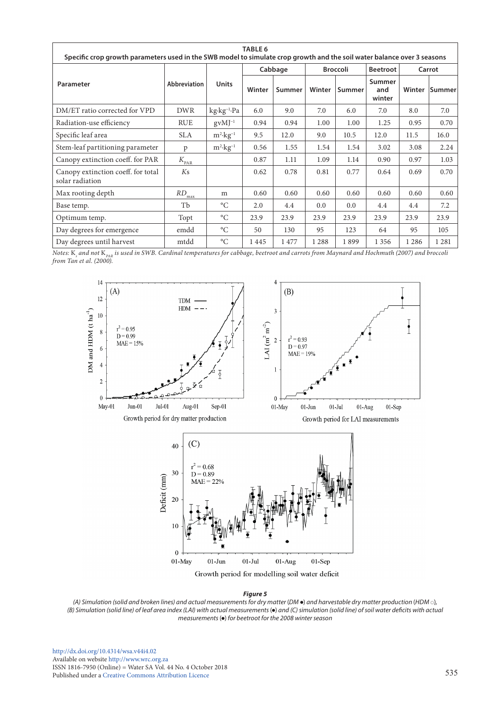| <b>TABLE 6</b><br>Specific crop growth parameters used in the SWB model to simulate crop growth and the soil water balance over 3 seasons |                              |                         |        |         |        |                 |                         |         |         |  |  |
|-------------------------------------------------------------------------------------------------------------------------------------------|------------------------------|-------------------------|--------|---------|--------|-----------------|-------------------------|---------|---------|--|--|
|                                                                                                                                           |                              |                         |        | Cabbage |        | <b>Broccoli</b> | <b>Beetroot</b>         |         | Carrot  |  |  |
| Parameter                                                                                                                                 | Abbreviation                 | <b>Units</b>            | Winter | Summer  | Winter | Summer          | Summer<br>and<br>winter | Winter  | Summer  |  |  |
| DM/ET ratio corrected for VPD                                                                                                             | <b>DWR</b>                   | kg·kg <sup>-1</sup> ·Pa | 6.0    | 9.0     | 7.0    | 6.0             | 7.0                     | 8.0     | 7.0     |  |  |
| Radiation-use efficiency                                                                                                                  | <b>RUE</b>                   | $gV$ MJ <sup>-1</sup>   | 0.94   | 0.94    | 1.00   | 1.00            | 1.25                    | 0.95    | 0.70    |  |  |
| Specific leaf area                                                                                                                        | <b>SLA</b>                   | $m^2$ · $kg^{-1}$       | 9.5    | 12.0    | 9.0    | 10.5            | 12.0                    | 11.5    | 16.0    |  |  |
| Stem-leaf partitioning parameter                                                                                                          | p                            | $m^2$ ·kg <sup>-1</sup> | 0.56   | 1.55    | 1.54   | 1.54            | 3.02                    | 3.08    | 2.24    |  |  |
| Canopy extinction coeff. for PAR                                                                                                          | $K_{\underline{\text{PAR}}}$ |                         | 0.87   | 1.11    | 1.09   | 1.14            | 0.90                    | 0.97    | 1.03    |  |  |
| Canopy extinction coeff. for total<br>solar radiation                                                                                     | Ks                           |                         | 0.62   | 0.78    | 0.81   | 0.77            | 0.64                    | 0.69    | 0.70    |  |  |
| Max rooting depth                                                                                                                         | RD<br>max                    | m                       | 0.60   | 0.60    | 0.60   | 0.60            | 0.60                    | 0.60    | 0.60    |  |  |
| Base temp.                                                                                                                                | Тb                           | $\rm ^{\circ}C$         | 2.0    | 4.4     | 0.0    | 0.0             | 4.4                     | 4.4     | 7.2     |  |  |
| Optimum temp.                                                                                                                             | Topt                         | $\rm ^{\circ}C$         | 23.9   | 23.9    | 23.9   | 23.9            | 23.9                    | 23.9    | 23.9    |  |  |
| Day degrees for emergence                                                                                                                 | emdd                         | $^{\circ}C$             | 50     | 130     | 95     | 123             | 64                      | 95      | 105     |  |  |
| Day degrees until harvest                                                                                                                 | mtdd                         | $\rm ^{\circ}C$         | 1445   | 1477    | 1288   | 1899            | 1 3 5 6                 | 1 2 8 6 | 1 2 8 1 |  |  |

*Notes:* K*<sup>s</sup> and not* K*PAR is used in SWB. Cardinal temperatures for cabbage, beetroot and carrots from Maynard and Hochmuth (2007) and broccoli from Tan et al. (2000).*



Growth period for modelling soil water deficit

#### *Figure 5*

*(A) Simulation (solid and broken lines) and actual measurements for dry matter* (*DM* ) *and harvestable dry matter production* (*HDM* )*, (B) Simulation (solid line) of leaf area index (LAI) with actual measurements (•) and (C) simulation (solid line) of soil water deficits with actual measurements* ( $\bullet$ ) for beetroot for the 2008 winter season

[http://dx.doi.org/10.4314/wsa.v44i4.](http://dx.doi.org/10.4314/wsa.v44i4.02)02 Available on website<http://www.wrc.org.za> ISSN 1816-7950 (Online) = Water SA Vol. 44 No. 4 October 2018 Published under a [Creative Commons Attribution Licence](https://creativecommons.org/licenses/by/4.0/) 535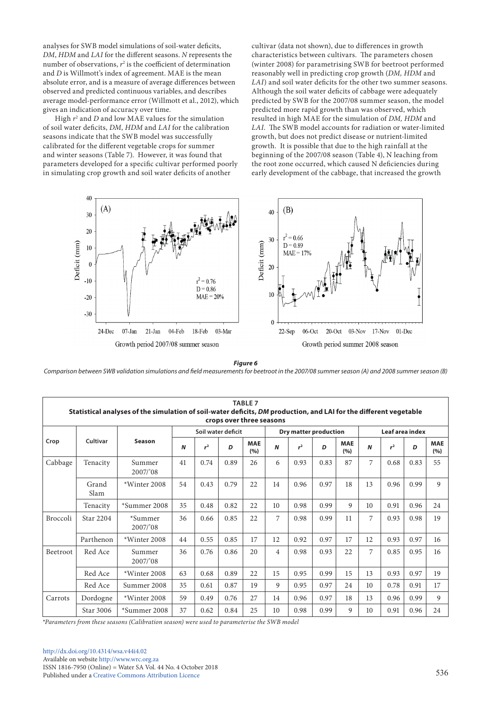analyses for SWB model simulations of soil-water deficits, *DM*, *HDM* and *LAI* for the different seasons. *N* represents the number of observations,  $r^2$  is the coefficient of determination and *D* is Willmott's index of agreement. MAE is the mean absolute error, and is a measure of average differences between observed and predicted continuous variables, and describes average model-performance error (Willmott et al., 2012), which gives an indication of accuracy over time.

High *r*<sup>2</sup> and *D* and low MAE values for the simulation of soil water deficits, *DM*, *HDM* and *LAI* for the calibration seasons indicate that the SWB model was successfully calibrated for the different vegetable crops for summer and winter seasons (Table 7). However, it was found that parameters developed for a specific cultivar performed poorly in simulating crop growth and soil water deficits of another

cultivar (data not shown), due to differences in growth characteristics between cultivars. The parameters chosen (winter 2008) for parametrising SWB for beetroot performed reasonably well in predicting crop growth (*DM, HDM* and *LAI*) and soil water deficits for the other two summer seasons. Although the soil water deficits of cabbage were adequately predicted by SWB for the 2007/08 summer season, the model predicted more rapid growth than was observed, which resulted in high MAE for the simulation of *DM, HDM* and *LAI*. The SWB model accounts for radiation or water-limited growth, but does not predict disease or nutrient-limited growth. It is possible that due to the high rainfall at the beginning of the 2007/08 season (Table 4), N leaching from the root zone occurred, which caused N deficiencies during early development of the cabbage, that increased the growth



*Figure 6 Comparison between SWB validation simulations and field measurements for beetroot in the 2007/08 summer season (A) and 2008 summer season (B)*

|                                                                                                   | <b>TABLE 7</b><br>Statistical analyses of the simulation of soil-water deficits, DM production, and LAI for the different vegetable |                    |    |                |      |                     |                |                |      |                     |    |                |      |                   |
|---------------------------------------------------------------------------------------------------|-------------------------------------------------------------------------------------------------------------------------------------|--------------------|----|----------------|------|---------------------|----------------|----------------|------|---------------------|----|----------------|------|-------------------|
| crops over three seasons<br>Soil water deficit<br>Leaf area index<br><b>Dry matter production</b> |                                                                                                                                     |                    |    |                |      |                     |                |                |      |                     |    |                |      |                   |
| Crop                                                                                              | Cultivar                                                                                                                            | Season             | N  | r <sup>2</sup> | D    | <b>MAE</b><br>(9/6) | N              | r <sup>2</sup> | D    | <b>MAE</b><br>(9/6) | N  | r <sup>2</sup> | D    | <b>MAE</b><br>(%) |
| Cabbage                                                                                           | Tenacity                                                                                                                            | Summer<br>2007/'08 | 41 | 0.74           | 0.89 | 26                  | 6              | 0.93           | 0.83 | 87                  | 7  | 0.68           | 0.83 | 55                |
|                                                                                                   | Grand<br>Slam                                                                                                                       | *Winter 2008       | 54 | 0.43           | 0.79 | 22                  | 14             | 0.96           | 0.97 | 18                  | 13 | 0.96           | 0.99 | 9                 |
|                                                                                                   | Tenacity                                                                                                                            | *Summer 2008       | 35 | 0.48           | 0.82 | 22                  | 10             | 0.98           | 0.99 | 9                   | 10 | 0.91           | 0.96 | 24                |
| <b>Broccoli</b>                                                                                   | Star 2204                                                                                                                           | *Summer<br>2007/08 | 36 | 0.66           | 0.85 | 22                  | 7              | 0.98           | 0.99 | 11                  | 7  | 0.93           | 0.98 | 19                |
|                                                                                                   | Parthenon                                                                                                                           | *Winter 2008       | 44 | 0.55           | 0.85 | 17                  | 12             | 0.92           | 0.97 | 17                  | 12 | 0.93           | 0.97 | 16                |
| Beetroot                                                                                          | Red Ace                                                                                                                             | Summer<br>2007/'08 | 36 | 0.76           | 0.86 | 20                  | $\overline{4}$ | 0.98           | 0.93 | 22                  | 7  | 0.85           | 0.95 | 16                |
|                                                                                                   | Red Ace                                                                                                                             | *Winter 2008       | 63 | 0.68           | 0.89 | 22                  | 15             | 0.95           | 0.99 | 15                  | 13 | 0.93           | 0.97 | 19                |
|                                                                                                   | Red Ace                                                                                                                             | Summer 2008        | 35 | 0.61           | 0.87 | 19                  | 9              | 0.95           | 0.97 | 24                  | 10 | 0.78           | 0.91 | 17                |
| Carrots                                                                                           | Dordogne                                                                                                                            | *Winter 2008       | 59 | 0.49           | 0.76 | 27                  | 14             | 0.96           | 0.97 | 18                  | 13 | 0.96           | 0.99 | 9                 |
|                                                                                                   | Star 3006                                                                                                                           | *Summer 2008       | 37 | 0.62           | 0.84 | 25                  | 10             | 0.98           | 0.99 | 9                   | 10 | 0.91           | 0.96 | 24                |

*\*Parameters from these seasons (Calibration season) were used to parameterise the SWB model*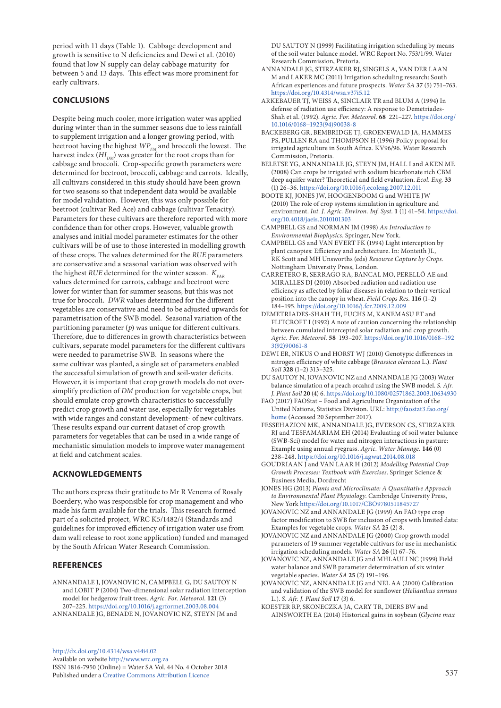period with 11 days (Table 1). Cabbage development and growth is sensitive to N deficiencies and Dewi et al. (2010) found that low N supply can delay cabbage maturity for between 5 and 13 days. This effect was more prominent for early cultivars.

# **CONCLUSIONS**

Despite being much cooler, more irrigation water was applied during winter than in the summer seasons due to less rainfall to supplement irrigation and a longer growing period, with beetroot having the highest  $WP_{FM}$  and broccoli the lowest. The harvest index  $(HI_{DM})$  was greater for the root crops than for cabbage and broccoli. Crop-specific growth parameters were determined for beetroot, broccoli, cabbage and carrots. Ideally, all cultivars considered in this study should have been grown for two seasons so that independent data would be available for model validation. However, this was only possible for beetroot (cultivar Red Ace) and cabbage (cultivar Tenacity). Parameters for these cultivars are therefore reported with more confidence than for other crops. However, valuable growth analyses and initial model parameter estimates for the other cultivars will be of use to those interested in modelling growth of these crops. The values determined for the *RUE* parameters are conservative and a seasonal variation was observed with the highest *RUE* determined for the winter season.  $K_{pAP}$ values determined for carrots, cabbage and beetroot were lower for winter than for summer seasons, but this was not true for broccoli. *DWR* values determined for the different vegetables are conservative and need to be adjusted upwards for parametrisation of the SWB model. Seasonal variation of the partitioning parameter (*p*) was unique for different cultivars. Therefore, due to differences in growth characteristics between cultivars, separate model parameters for the different cultivars were needed to parametrise SWB. In seasons where the same cultivar was planted, a single set of parameters enabled the successful simulation of growth and soil-water deficits. However, it is important that crop growth models do not oversimplify prediction of *DM* production for vegetable crops, but should emulate crop growth characteristics to successfully predict crop growth and water use, especially for vegetables with wide ranges and constant development- of new cultivars. These results expand our current dataset of crop growth parameters for vegetables that can be used in a wide range of mechanistic simulation models to improve water management at field and catchment scales.

# **ACKNOWLEDGEMENTS**

The authors express their gratitude to Mr R Venema of Rosaly Boerdery, who was responsible for crop management and who made his farm available for the trials. This research formed part of a solicited project, WRC K5/1482/4 (standards and guidelines for improved efficiency of irrigation water use from dam wall release to root zone application) funded and managed by the South African Water Research Commission.

# **REFERENCES**

ANNANDALE J, JOVANOVIC N, CAMPBELL G, DU SAUTOY N and LOBIT P (2004) Two-dimensional solar radiation interception model for hedgerow fruit trees. *Agric. For. Meteorol.* **121** (3) 207–225.<https://doi.org/10.1016/j.agrformet.2003.08.004>

ANNANDALE JG, BENADE N, JOVANOVIC NZ, STEYN JM and

[http://dx.doi.org/10.4314/wsa.v44i4.](http://dx.doi.org/10.4314/wsa.v44i4.02)02 Available on website<http://www.wrc.org.za> ISSN 1816-7950 (Online) = Water SA Vol. 44 No. 4 October 2018 Published under a [Creative Commons Attribution Licence](https://creativecommons.org/licenses/by/4.0/) 537

DU SAUTOY N (1999) Facilitating irrigation scheduling by means of the soil water balance model. WRC Report No. 753/1/99. Water Research Commission, Pretoria.

- ANNANDALE JG, STIRZAKER RJ, SINGELS A, VAN DER LAAN M and LAKER MC (2011) Irrigation scheduling research: South African experiences and future prospects. *Water SA* **37** (5) 751–763. <https://doi.org/10.4314/wsa.v37i5.12>
- ARKEBAUER TJ, WEISS A, SINCLAIR TR and BLUM A (1994) In defense of radiation use efficiency: A response to Demetriades-Shah et al. (1992). *Agric. For. Meteorol.* **68** 221–227. [https://doi.org/](https://doi.org/10.1016/0168-1923(94)90038-8) [10.1016/0168−1923\(94\)90038-8](https://doi.org/10.1016/0168-1923(94)90038-8)
- BACKEBERG GR, BEMBRIDGE TJ, GROENEWALD JA, HAMMES PS, PULLEN RA and THOMPSON H (1996) Policy proposal for irrigated agriculture in South Africa. KV96/96. Water Research Commission, Pretoria.
- BELETSE YG, ANNANDALE JG, STEYN JM, HALL I and AKEN ME (2008) Can crops be irrigated with sodium bicarbonate rich CBM deep aquifer water? Theoretical and field evaluation. *Ecol. Eng.* **33** (1) 26–36.<https://doi.org/10.1016/j.ecoleng.2007.12.011>
- BOOTE KJ, JONES JW, HOOGENBOOM G and WHITE JW (2010) The role of crop systems simulation in agriculture and environment. *Int. J. Agric. Environ. Inf. Syst.* **1** (1) 41–54. [https://doi.](https://doi.org/10.4018/jaeis.2010101303) [org/10.4018/jaeis.2010101303](https://doi.org/10.4018/jaeis.2010101303)
- CAMPBELL GS and NORMAN JM (1998) *An Introduction to Environmental Biophysics*. Springer, New York.
- CAMPBELL GS and VAN EVERT FK (1994) Light interception by plant canopies: Efficiency and architecture. In: Monteith JL, RK Scott and MH Unsworths (eds) *Resource Capture by Crops.*  Nottingham University Press, London.
- CARRETERO R, SERRAGO RA, BANCAL MO, PERELLÓ AE and MIRALLES DJ (2010) Absorbed radiation and radiation use efficiency as affected by foliar diseases in relation to their vertical position into the canopy in wheat. *Field Crops Res.* **116** (1–2) 184–195.<https://doi.org/10.1016/j.fcr.2009.12.009>
- DEMETRIADES-SHAH TH, FUCHS M, KANEMASU ET and FLITCROFT I (1992) A note of caution concerning the relationship between cumulated intercepted solar radiation and crop growth. *Agric. For. Meteorol.* **58** 193–207. [https://doi.org/10.1016/0168−192](https://doi.org/10.1016/0168-1923(92)90061-8) [3\(92\)90061-8](https://doi.org/10.1016/0168-1923(92)90061-8)
- DEWI ER, NIKUS O and HORST WJ (2010) Genotypic differences in nitrogen efficiency of white cabbage (*Brassica oleracea* L.). *Plant Soil* **328** (1–2) 313–325.
- DU SAUTOY N, JOVANOVIC NZ and ANNANDALE JG (2003) Water balance simulation of a peach orcahrd using the SWB model. *S. Afr. J. Plant Soil* **20** (4) 6.<https://doi.org/10.1080/02571862.2003.10634930>
- FAO (2017) FAOStat Food and Agriculture Organization of the United Nations, Statistics Division. URL: [http://faostat3.fao.org/](http://faostat3.fao.org/home) [home](http://faostat3.fao.org/home) (Accessed 20 September 2017).
- FESSEHAZION MK, ANNANDALE JG, EVERSON CS, STIRZAKER RJ and TESFAMARIAM EH (2014) Evaluating of soil water balance (SWB-Sci) model for water and nitrogen interactions in pasture: Example using annual ryegrass. *Agric. Water Manage.* **146** (0) 238–248. <https://doi.org/10.1016/j.agwat.2014.08.018>
- GOUDRIAAN J and VAN LAAR H (2012) *Modelling Potential Crop Growth Processes: Textbook with Exercises*. Springer Science & Business Media, Dordrecht
- JONES HG (2013) *Plants and Microclimate: A Quantitative Approach to Environmental Plant Physiology*. Cambridge University Press, New York <https://doi.org/10.1017/CBO9780511845727>
- JOVANOVIC NZ and ANNANDALE JG (1999) An FAO type crop factor modification to SWB for inclusion of crops with limited data: Examples for vegetable crops. *Water SA* **25** (2) 8.
- JOVANOVIC NZ and ANNANDALE JG (2000) Crop growth model parameters of 19 summer vegetable cultivars for use in mechanistic irrigation scheduling models. *Water SA* **26** (1) 67–76.
- JOVANOVIC NZ, ANNANDALE JG and MHLAULI NC (1999) Field water balance and SWB parameter determination of six winter vegetable species. *Water SA* **25** (2) 191–196.
- JOVANOVIC NZ, ANNANDALE JG and NEL AA (2000) Calibration and validation of the SWB model for sunflower (*Helianthus annuus*  L.). *S. Afr. J. Plant Soil* **17** (3) 6.
- KOESTER RP, SKONECZKA JA, CARY TR, DIERS BW and AINSWORTH EA (2014) Historical gains in soybean (*Glycine max*